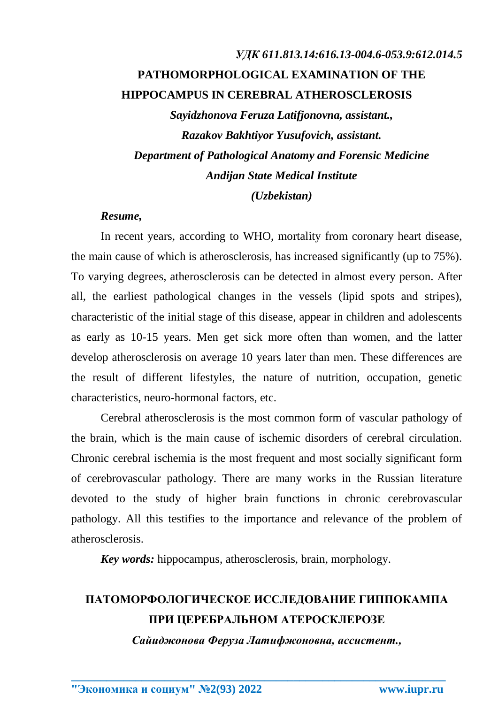# *УДК 611.813.14:616.13-004.6-053.9:612.014.5* **PATHOMORPHOLOGICAL EXAMINATION OF THE HIPPOCAMPUS IN CEREBRAL ATHEROSCLEROSIS**

*Sayidzhonova Feruza Latifjonovna, assistant., Razakov Bakhtiyor Yusufovich, assistant. Department of Pathological Anatomy and Forensic Medicine Andijan State Medical Institute*

### *(Uzbekistan)*

### *Resume,*

In recent years, according to WHO, mortality from coronary heart disease, the main cause of which is atherosclerosis, has increased significantly (up to 75%). To varying degrees, atherosclerosis can be detected in almost every person. After all, the earliest pathological changes in the vessels (lipid spots and stripes), characteristic of the initial stage of this disease, appear in children and adolescents as early as 10-15 years. Men get sick more often than women, and the latter develop atherosclerosis on average 10 years later than men. These differences are the result of different lifestyles, the nature of nutrition, occupation, genetic characteristics, neuro-hormonal factors, etc.

Cerebral atherosclerosis is the most common form of vascular pathology of the brain, which is the main cause of ischemic disorders of cerebral circulation. Chronic cerebral ischemia is the most frequent and most socially significant form of cerebrovascular pathology. There are many works in the Russian literature devoted to the study of higher brain functions in chronic cerebrovascular pathology. All this testifies to the importance and relevance of the problem of atherosclerosis.

*Key words:* hippocampus, atherosclerosis, brain, morphology.

## **ПАТОМОРФОЛОГИЧЕСКОЕ ИССЛЕДОВАНИЕ ГИППОКАМПА ПРИ ЦЕРЕБРАЛЬНОМ АТЕРОСКЛЕРОЗЕ**

*Сайиджонова Феруза Латифжоновна, ассистент.,*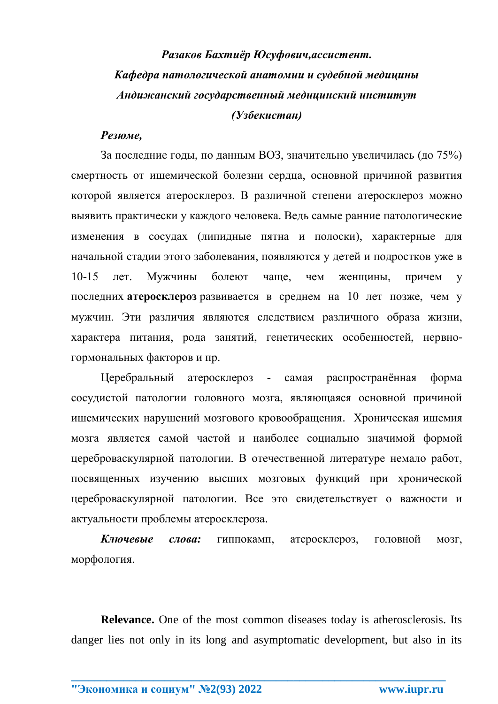# *Разаков Бахтиёр Юсуфович,ассистент. Кафедра патологической анатомии и судебной медицины Андижанский государственный медицинский институт (Узбекистан)*

### *Резюме,*

За последние годы, по данным ВОЗ, значительно увеличилась (до 75%) смертность от ишемической болезни сердца, основной причиной развития которой является атеросклероз. В различной степени атеросклероз можно выявить практически у каждого человека. Ведь самые ранние патологические изменения в сосудах (липидные пятна и полоски), характерные для начальной стадии этого заболевания, появляются у детей и подростков уже в 10-15 лет. Мужчины болеют чаще, чем женщины, причем у последних **атеросклероз** развивается в среднем на 10 лет позже, чем у мужчин. Эти различия являются следствием различного образа жизни, характера питания, рода занятий, генетических особенностей, нервногормональных факторов и пр.

Церебральный атеросклероз - самая распространённая форма сосудистой патологии головного мозга, являющаяся основной причиной ишемических нарушений мозгового кровообращения. Хроническая ишемия мозга является самой частой и наиболее социально значимой формой цереброваскулярной патологии. В отечественной литературе немало работ, посвященных изучению высших мозговых функций при хронической цереброваскулярной патологии. Все это свидетельствует о важности и актуальности проблемы атеросклероза.

*Ключевые слова:* гиппокамп, атеросклероз, головной мозг, морфология.

**Relevance.** One of the most common diseases today is atherosclerosis. Its danger lies not only in its long and asymptomatic development, but also in its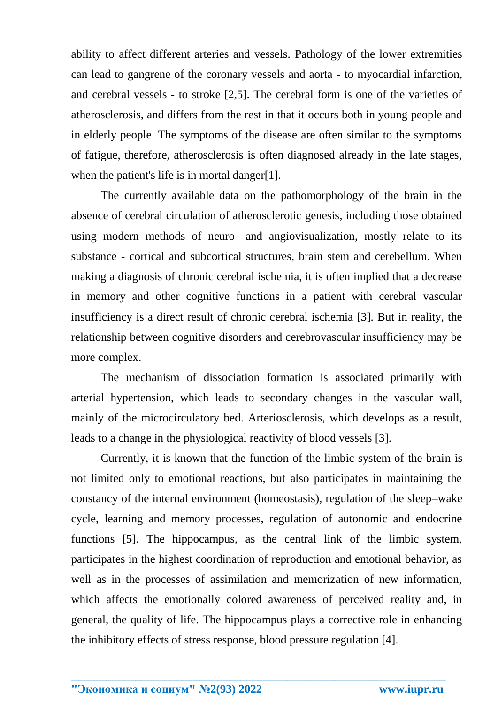ability to affect different arteries and vessels. Pathology of the lower extremities can lead to gangrene of the coronary vessels and aorta - to myocardial infarction, and cerebral vessels - to stroke [2,5]. The cerebral form is one of the varieties of atherosclerosis, and differs from the rest in that it occurs both in young people and in elderly people. The symptoms of the disease are often similar to the symptoms of fatigue, therefore, atherosclerosis is often diagnosed already in the late stages, when the patient's life is in mortal danger[1].

The currently available data on the pathomorphology of the brain in the absence of cerebral circulation of atherosclerotic genesis, including those obtained using modern methods of neuro- and angiovisualization, mostly relate to its substance - cortical and subcortical structures, brain stem and cerebellum. When making a diagnosis of chronic cerebral ischemia, it is often implied that a decrease in memory and other cognitive functions in a patient with cerebral vascular insufficiency is a direct result of chronic cerebral ischemia [3]. But in reality, the relationship between cognitive disorders and cerebrovascular insufficiency may be more complex.

The mechanism of dissociation formation is associated primarily with arterial hypertension, which leads to secondary changes in the vascular wall, mainly of the microcirculatory bed. Arteriosclerosis, which develops as a result, leads to a change in the physiological reactivity of blood vessels [3].

Currently, it is known that the function of the limbic system of the brain is not limited only to emotional reactions, but also participates in maintaining the constancy of the internal environment (homeostasis), regulation of the sleep–wake cycle, learning and memory processes, regulation of autonomic and endocrine functions [5]. The hippocampus, as the central link of the limbic system, participates in the highest coordination of reproduction and emotional behavior, as well as in the processes of assimilation and memorization of new information, which affects the emotionally colored awareness of perceived reality and, in general, the quality of life. The hippocampus plays a corrective role in enhancing the inhibitory effects of stress response, blood pressure regulation [4].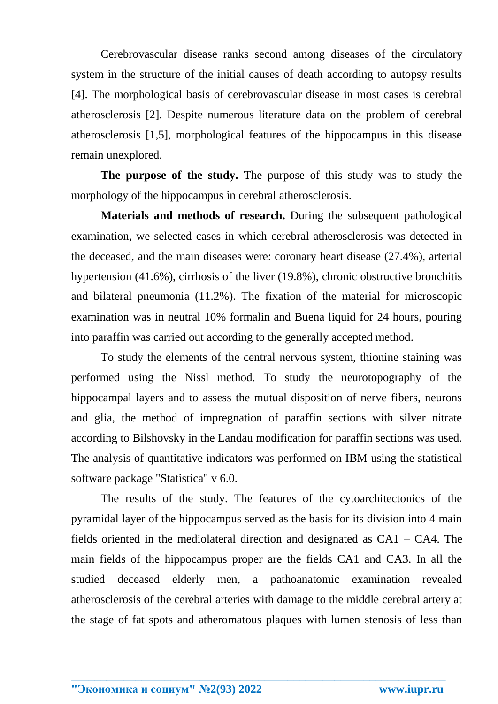Cerebrovascular disease ranks second among diseases of the circulatory system in the structure of the initial causes of death according to autopsy results [4]. The morphological basis of cerebrovascular disease in most cases is cerebral atherosclerosis [2]. Despite numerous literature data on the problem of cerebral atherosclerosis [1,5], morphological features of the hippocampus in this disease remain unexplored.

**The purpose of the study.** The purpose of this study was to study the morphology of the hippocampus in cerebral atherosclerosis.

**Materials and methods of research.** During the subsequent pathological examination, we selected cases in which cerebral atherosclerosis was detected in the deceased, and the main diseases were: coronary heart disease (27.4%), arterial hypertension (41.6%), cirrhosis of the liver (19.8%), chronic obstructive bronchitis and bilateral pneumonia (11.2%). The fixation of the material for microscopic examination was in neutral 10% formalin and Buena liquid for 24 hours, pouring into paraffin was carried out according to the generally accepted method.

To study the elements of the central nervous system, thionine staining was performed using the Nissl method. To study the neurotopography of the hippocampal layers and to assess the mutual disposition of nerve fibers, neurons and glia, the method of impregnation of paraffin sections with silver nitrate according to Bilshovsky in the Landau modification for paraffin sections was used. The analysis of quantitative indicators was performed on IBM using the statistical software package "Statistica" v 6.0.

The results of the study. The features of the cytoarchitectonics of the pyramidal layer of the hippocampus served as the basis for its division into 4 main fields oriented in the mediolateral direction and designated as CA1 – CA4. The main fields of the hippocampus proper are the fields CA1 and CA3. In all the studied deceased elderly men, a pathoanatomic examination revealed atherosclerosis of the cerebral arteries with damage to the middle cerebral artery at the stage of fat spots and atheromatous plaques with lumen stenosis of less than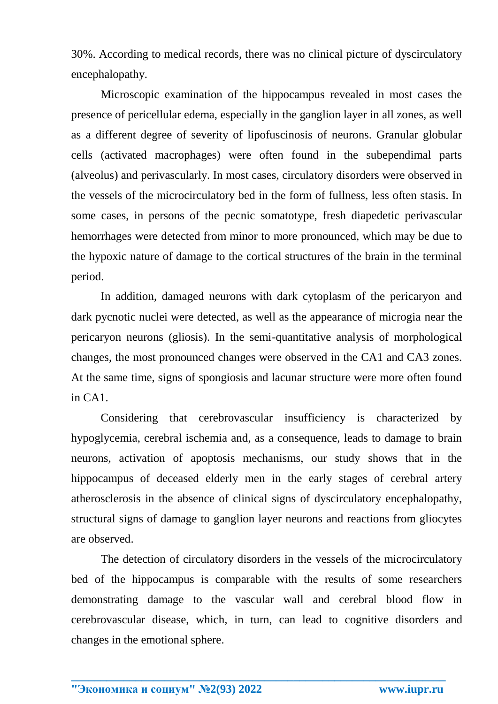30%. According to medical records, there was no clinical picture of dyscirculatory encephalopathy.

Microscopic examination of the hippocampus revealed in most cases the presence of pericellular edema, especially in the ganglion layer in all zones, as well as a different degree of severity of lipofuscinosis of neurons. Granular globular cells (activated macrophages) were often found in the subependimal parts (alveolus) and perivascularly. In most cases, circulatory disorders were observed in the vessels of the microcirculatory bed in the form of fullness, less often stasis. In some cases, in persons of the pecnic somatotype, fresh diapedetic perivascular hemorrhages were detected from minor to more pronounced, which may be due to the hypoxic nature of damage to the cortical structures of the brain in the terminal period.

In addition, damaged neurons with dark cytoplasm of the pericaryon and dark pycnotic nuclei were detected, as well as the appearance of microgia near the pericaryon neurons (gliosis). In the semi-quantitative analysis of morphological changes, the most pronounced changes were observed in the CA1 and CA3 zones. At the same time, signs of spongiosis and lacunar structure were more often found in CA1.

Considering that cerebrovascular insufficiency is characterized by hypoglycemia, cerebral ischemia and, as a consequence, leads to damage to brain neurons, activation of apoptosis mechanisms, our study shows that in the hippocampus of deceased elderly men in the early stages of cerebral artery atherosclerosis in the absence of clinical signs of dyscirculatory encephalopathy, structural signs of damage to ganglion layer neurons and reactions from gliocytes are observed.

The detection of circulatory disorders in the vessels of the microcirculatory bed of the hippocampus is comparable with the results of some researchers demonstrating damage to the vascular wall and cerebral blood flow in cerebrovascular disease, which, in turn, can lead to cognitive disorders and changes in the emotional sphere.